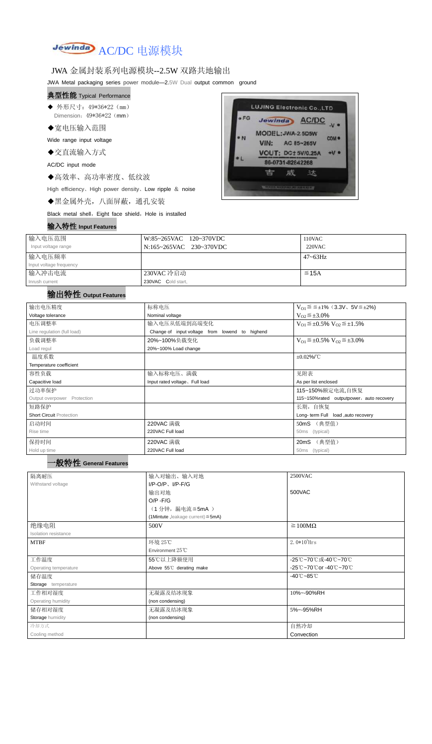

## JWA 金属封装系列电源模块--2.5W 双路共地输出

JWA Metal packaging series power module—2.5W Dual output common ground

- ◆ 外形尺寸: 49\*36\*22 (mm) Dimension:  $49*36*22$  (mm)
- ◆宽电压输入范围

#### 典型性能 Typical Performance

Wide range input voltage

◆交直流输入方式

AC/DC input mode

◆高效率、高功率密度、低纹波

High efficiency、High power density、Low ripple & noise

◆黑金属外壳,八面屏蔽,通孔安装

Black metal shell, Eight face shield, Hole is installed

#### 输入特性 **Input Features**



| 输入电压范围<br>Input voltage range | W:85~265VAC 120~370VDC<br>N:165~265VAC 230~370VDC | 110VAC<br>$220$ VAC |
|-------------------------------|---------------------------------------------------|---------------------|
| 输入电压频率                        |                                                   | $47 - 63$ Hz        |
| Input voltage frequency       |                                                   |                     |
| 输入冲击电流                        | 230VAC 冷启动                                        | $\leq$ 15A          |
| Inrush current                | 230VAC Cold start,                                |                     |

## 输出特性 **Output Features**

| 输出电压精度                          | 标称电压                                           | $V_{01} \le \le \pm 1\%$ (3.3V, 5V $\le \pm 2\%$ )    |  |
|---------------------------------|------------------------------------------------|-------------------------------------------------------|--|
| Voltage tolerance               | Nominal voltage                                | $V_{O2} \leq \pm 3.0\%$                               |  |
| 电压调整率                           | 输入电压从低端到高端变化                                   | $V_{O1} \leq \pm 0.5\% \text{ V}_{O2} \leq \pm 1.5\%$ |  |
| Line regulation (full load)     | Change of input voltage from lowend to highend |                                                       |  |
| 负载调整率                           | 20%~100%负载变化                                   | $V_{O1} \leq \pm 0.5\% \text{ V}_{O2} \leq \pm 3.0\%$ |  |
| Load regul                      | 20%~100% Load change                           |                                                       |  |
| 温度系数                            |                                                | $\pm 0.02\%$ /°C                                      |  |
| Temperature coefficient         |                                                |                                                       |  |
| 容性负载                            | 输入标称电压、满载                                      | 见附表                                                   |  |
| Capacitive load                 | Input rated voltage. Full load                 | As per list enclosed                                  |  |
| 过功率保护                           |                                                | 115~150%额定电流,自恢复                                      |  |
| Output overpower Protection     |                                                | 115~150%rated outputpower, auto recovery              |  |
| 短路保护                            | 长期, 自恢复                                        |                                                       |  |
| <b>Short Circuit Protection</b> |                                                | Long- term Full load, auto recovery                   |  |
| 启动时间                            | 220VAC 满载                                      | 50mS (典型值)                                            |  |
| Rise time                       | 220VAC Full load                               | 50ms (typical)                                        |  |
| 保持时间                            | 220VAC 满载                                      | (典型值)<br>20 <sub>m</sub> S                            |  |
| Hold up time                    | 220VAC Full load                               | 50ms (typical)                                        |  |

| 隔离耐压                                              | 输入对输出、输入对地                              | 2500VAC                         |
|---------------------------------------------------|-----------------------------------------|---------------------------------|
| Withstand voltage                                 | $I/P-O/P$ , $I/P$ -F/G                  |                                 |
|                                                   | 输出对地                                    | 500VAC                          |
|                                                   | $O/P - F/G$                             |                                 |
|                                                   | (1分钟,漏电流≦5mA)                           |                                 |
|                                                   | (1Mintute, leakage current) $\leq$ 5mA) |                                 |
| 绝缘电阻                                              | 500V                                    | $\geq 100M\Omega$               |
| Isolation resistance                              |                                         |                                 |
| <b>MTBF</b>                                       | 环境 25℃                                  | $2.0*105$ Hrs                   |
|                                                   | Environment $25^{\circ}$ C              |                                 |
| 工作温度                                              | 55℃以上降额使用                               | -25℃~70℃或-40℃~70℃               |
| Above 55°C derating make<br>Operating temperature |                                         | -25℃~70℃or -40℃~70℃             |
| 储存温度                                              |                                         | $-40^{\circ}$ C $-85^{\circ}$ C |
| Storage temperature                               |                                         |                                 |
| 工作相对湿度                                            | 无凝露及结冰现象                                | 10%~-90%RH                      |
| Operating humidity                                | (non condensing)                        |                                 |
| 储存相对湿度                                            | 无凝露及结冰现象                                | 5%~-95%RH                       |
| Storage humidity                                  | (non condensing)                        |                                 |
| 冷却方式                                              |                                         | 自然冷却                            |
| Cooling method                                    |                                         | Convection                      |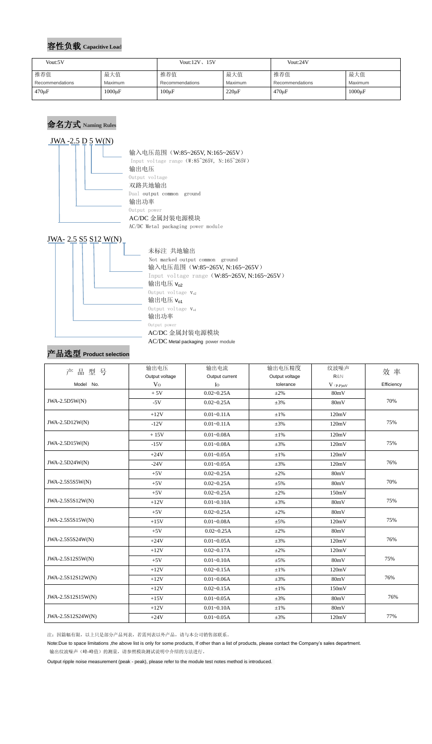## 容性负载 **Capacitive Loa**<sup>d</sup>

## 命名方式 **Naming Rules**

### $JWA - 2.5 D 5 W(N)$



## JWA- 2.5 S5 S12 W(N)



AC/DC Metal packaging power module

## 产品选型 **Product selection**

注:因篇幅有限,以上只是部分产品列表,若需列表以外产品,请与本公司销售部联系。

Note:Due to space limitations ,the above list is only for some products, If other than a list of products, please contact the Company's sales department.

输出纹波噪声(峰-峰值)的测量,请参照模块测试说明中介绍的方法进行。

Output ripple noise measurement (peak - peak), please refer to the module test notes method is introduced.

| Vout:5V         |             | Vout: $12V$ , $15V$ |             | Vout:24V        |             |
|-----------------|-------------|---------------------|-------------|-----------------|-------------|
| 推荐值             | 最大值         | 推荐值                 | 最大值         | 推荐值             | 最大值         |
| Recommendations | Maximum     | Recommendations     | Maximum     | Recommendations | Maximum     |
| $470 \mu F$     | $1000\mu F$ | $100\mu F$          | $220 \mu F$ | $470 \mu F$     | $1000\mu F$ |

|                   | 输出电压           | 输出电流           | 输出电压精度         | 纹波噪声                    |            |  |
|-------------------|----------------|----------------|----------------|-------------------------|------------|--|
| 产品型号              | Output voltage | Output current | Output voltage | R&N                     | 效率         |  |
| Model No.         | V <sub>O</sub> | I <sub>0</sub> | tolerance      | $V$ $_{(P\text{-}P)mV}$ | Efficiency |  |
|                   | $+5V$          | $0.02 - 0.25A$ | $\pm 2\%$      | 80mV                    |            |  |
| JWA-2.5D5W(N)     | $-5V$          | $0.02 - 0.25A$ | $\pm 3\%$      | 80mV                    | 70%        |  |
|                   | $+12V$         | $0.01 - 0.11A$ | $\pm 1\%$      | 120mV                   |            |  |
| JWA-2.5D12W(N)    | $-12V$         | $0.01 - 0.11A$ | $\pm 3\%$      | 120mV                   | 75%        |  |
|                   | $+15V$         | $0.01 - 0.08A$ | $\pm 1\%$      | 120mV                   |            |  |
| JWA-2.5D15W(N)    | $-15V$         | $0.01 - 0.08A$ | $\pm 3\%$      | 120mV                   | 75%        |  |
|                   | $+24V$         | $0.01 - 0.05A$ | $\pm 1\%$      | 120mV                   |            |  |
| JWA-2.5D24W(N)    | $-24V$         | $0.01 - 0.05A$ | $\pm 3\%$      | 120mV                   | 76%        |  |
|                   | $+5V$          | $0.02 - 0.25A$ | $\pm 2\%$      | 80mV                    |            |  |
| JWA-2.5S555W(N)   | $+5V$          | $0.02 - 0.25A$ | $\pm 5\%$      | 80mV                    | 70%        |  |
|                   | $+5V$          | $0.02 - 0.25A$ | $\pm 2\%$      | 150mV                   |            |  |
| JWA-2.5S5S12W(N)  | $+12V$         | $0.01 - 0.10A$ | $\pm 3\%$      | 80mV                    | 75%        |  |
|                   | $+5V$          | $0.02 - 0.25A$ | $\pm 2\%$      | 80mV                    |            |  |
| JWA-2.5S5S15W(N)  | $+15V$         | $0.01 - 0.08A$ | $\pm 5\%$      | 120mV                   | 75%        |  |
|                   | $+5V$          | $0.02 - 0.25A$ | $\pm 2\%$      | 80mV                    |            |  |
| JWA-2.5S5S24W(N)  | $+24V$         | $0.01 - 0.05A$ | $\pm 3\%$      | 120mV                   | 76%        |  |
|                   | $+12V$         | $0.02 - 0.17A$ | $\pm 2\%$      | 120mV                   |            |  |
| JWA-2.5S12S5W(N)  | $+5V$          | $0.01 - 0.10A$ | $\pm 5\%$      | 80mV                    | 75%        |  |
|                   | $+12V$         | $0.02 - 0.15A$ | $\pm 1\%$      | 120mV                   |            |  |
| JWA-2.5S12S12W(N) | $+12V$         | $0.01 - 0.06A$ | $\pm 3\%$      | 80mV                    | 76%        |  |
|                   | $+12V$         | $0.02 - 0.15A$ | $\pm 1\%$      | 150mV                   |            |  |
| JWA-2.5S12S15W(N) | $+15V$         | $0.01 - 0.05A$ | $\pm 3\%$      | 80mV                    | 76%        |  |
|                   | $+12V$         | $0.01 - 0.10A$ | $\pm 1\%$      | 80mV                    |            |  |
| JWA-2.5S12S24W(N) | $+24V$         | $0.01 - 0.05A$ | $\pm 3\%$      | 120mV                   | 77%        |  |